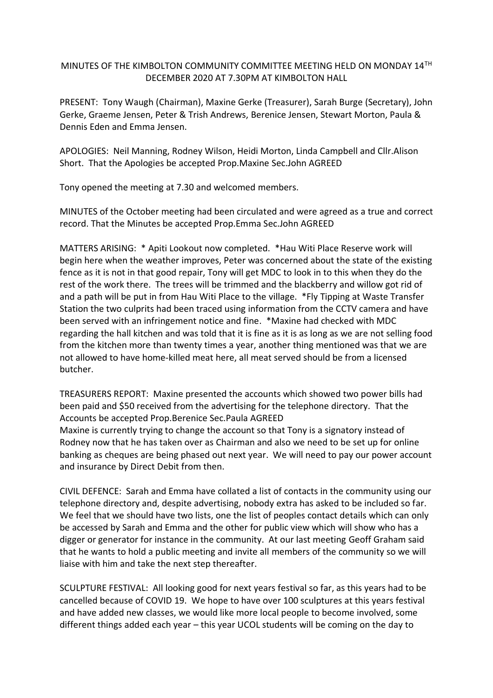## MINUTES OF THE KIMBOLTON COMMUNITY COMMITTEE MEETING HELD ON MONDAY 14TH DECEMBER 2020 AT 7.30PM AT KIMBOLTON HALL

PRESENT: Tony Waugh (Chairman), Maxine Gerke (Treasurer), Sarah Burge (Secretary), John Gerke, Graeme Jensen, Peter & Trish Andrews, Berenice Jensen, Stewart Morton, Paula & Dennis Eden and Emma Jensen.

APOLOGIES: Neil Manning, Rodney Wilson, Heidi Morton, Linda Campbell and Cllr.Alison Short. That the Apologies be accepted Prop.Maxine Sec.John AGREED

Tony opened the meeting at 7.30 and welcomed members.

MINUTES of the October meeting had been circulated and were agreed as a true and correct record. That the Minutes be accepted Prop.Emma Sec.John AGREED

MATTERS ARISING: \* Apiti Lookout now completed. \*Hau Witi Place Reserve work will begin here when the weather improves, Peter was concerned about the state of the existing fence as it is not in that good repair, Tony will get MDC to look in to this when they do the rest of the work there. The trees will be trimmed and the blackberry and willow got rid of and a path will be put in from Hau Witi Place to the village. \*Fly Tipping at Waste Transfer Station the two culprits had been traced using information from the CCTV camera and have been served with an infringement notice and fine. \*Maxine had checked with MDC regarding the hall kitchen and was told that it is fine as it is as long as we are not selling food from the kitchen more than twenty times a year, another thing mentioned was that we are not allowed to have home-killed meat here, all meat served should be from a licensed butcher.

TREASURERS REPORT: Maxine presented the accounts which showed two power bills had been paid and \$50 received from the advertising for the telephone directory. That the Accounts be accepted Prop.Berenice Sec.Paula AGREED

Maxine is currently trying to change the account so that Tony is a signatory instead of Rodney now that he has taken over as Chairman and also we need to be set up for online banking as cheques are being phased out next year. We will need to pay our power account and insurance by Direct Debit from then.

CIVIL DEFENCE: Sarah and Emma have collated a list of contacts in the community using our telephone directory and, despite advertising, nobody extra has asked to be included so far. We feel that we should have two lists, one the list of peoples contact details which can only be accessed by Sarah and Emma and the other for public view which will show who has a digger or generator for instance in the community. At our last meeting Geoff Graham said that he wants to hold a public meeting and invite all members of the community so we will liaise with him and take the next step thereafter.

SCULPTURE FESTIVAL: All looking good for next years festival so far, as this years had to be cancelled because of COVID 19. We hope to have over 100 sculptures at this years festival and have added new classes, we would like more local people to become involved, some different things added each year – this year UCOL students will be coming on the day to